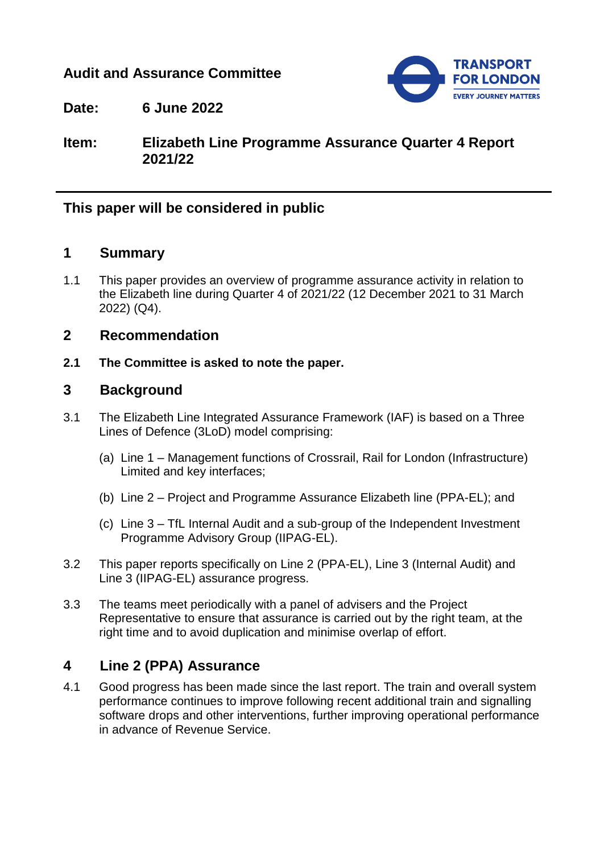### **Audit and Assurance Committee**



**Date: 6 June 2022**

**Item: Elizabeth Line Programme Assurance Quarter 4 Report 2021/22**

# **This paper will be considered in public**

### **1 Summary**

1.1 This paper provides an overview of programme assurance activity in relation to the Elizabeth line during Quarter 4 of 2021/22 (12 December 2021 to 31 March 2022) (Q4).

### **2 Recommendation**

**2.1 The Committee is asked to note the paper.**

### **3 Background**

- 3.1 The Elizabeth Line Integrated Assurance Framework (IAF) is based on a Three Lines of Defence (3LoD) model comprising:
	- (a) Line 1 Management functions of Crossrail, Rail for London (Infrastructure) Limited and key interfaces;
	- (b) Line 2 Project and Programme Assurance Elizabeth line (PPA-EL); and
	- (c) Line 3 TfL Internal Audit and a sub-group of the Independent Investment Programme Advisory Group (IIPAG-EL).
- 3.2 This paper reports specifically on Line 2 (PPA-EL), Line 3 (Internal Audit) and Line 3 (IIPAG-EL) assurance progress.
- 3.3 The teams meet periodically with a panel of advisers and the Project Representative to ensure that assurance is carried out by the right team, at the right time and to avoid duplication and minimise overlap of effort.

# **4 Line 2 (PPA) Assurance**

4.1 Good progress has been made since the last report. The train and overall system performance continues to improve following recent additional train and signalling software drops and other interventions, further improving operational performance in advance of Revenue Service.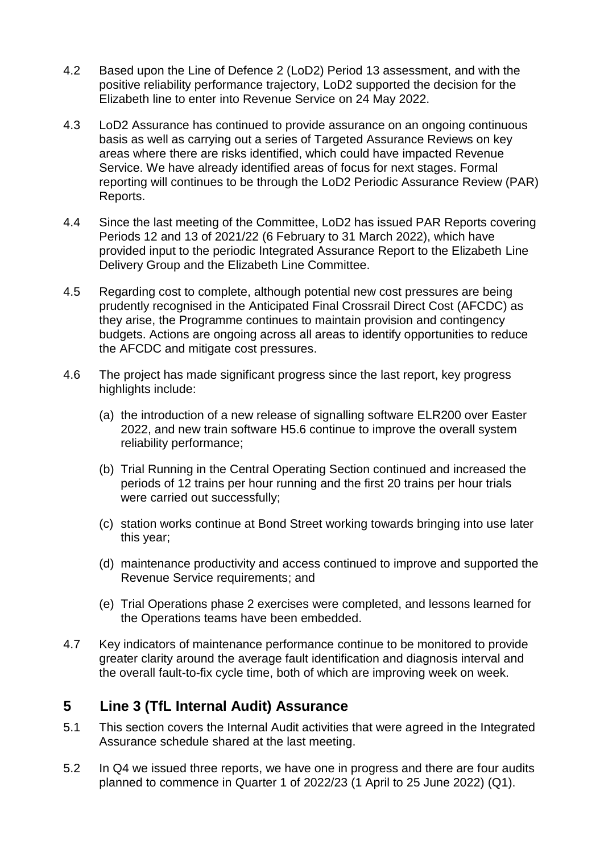- 4.2 Based upon the Line of Defence 2 (LoD2) Period 13 assessment, and with the positive reliability performance trajectory, LoD2 supported the decision for the Elizabeth line to enter into Revenue Service on 24 May 2022.
- 4.3 LoD2 Assurance has continued to provide assurance on an ongoing continuous basis as well as carrying out a series of Targeted Assurance Reviews on key areas where there are risks identified, which could have impacted Revenue Service. We have already identified areas of focus for next stages. Formal reporting will continues to be through the LoD2 Periodic Assurance Review (PAR) Reports.
- 4.4 Since the last meeting of the Committee, LoD2 has issued PAR Reports covering Periods 12 and 13 of 2021/22 (6 February to 31 March 2022), which have provided input to the periodic Integrated Assurance Report to the Elizabeth Line Delivery Group and the Elizabeth Line Committee.
- 4.5 Regarding cost to complete, although potential new cost pressures are being prudently recognised in the Anticipated Final Crossrail Direct Cost (AFCDC) as they arise, the Programme continues to maintain provision and contingency budgets. Actions are ongoing across all areas to identify opportunities to reduce the AFCDC and mitigate cost pressures.
- 4.6 The project has made significant progress since the last report, key progress highlights include:
	- (a) the introduction of a new release of signalling software ELR200 over Easter 2022, and new train software H5.6 continue to improve the overall system reliability performance;
	- (b) Trial Running in the Central Operating Section continued and increased the periods of 12 trains per hour running and the first 20 trains per hour trials were carried out successfully;
	- (c) station works continue at Bond Street working towards bringing into use later this year;
	- (d) maintenance productivity and access continued to improve and supported the Revenue Service requirements; and
	- (e) Trial Operations phase 2 exercises were completed, and lessons learned for the Operations teams have been embedded.
- 4.7 Key indicators of maintenance performance continue to be monitored to provide greater clarity around the average fault identification and diagnosis interval and the overall fault-to-fix cycle time, both of which are improving week on week.

# **5 Line 3 (TfL Internal Audit) Assurance**

- 5.1 This section covers the Internal Audit activities that were agreed in the Integrated Assurance schedule shared at the last meeting.
- 5.2 In Q4 we issued three reports, we have one in progress and there are four audits planned to commence in Quarter 1 of 2022/23 (1 April to 25 June 2022) (Q1).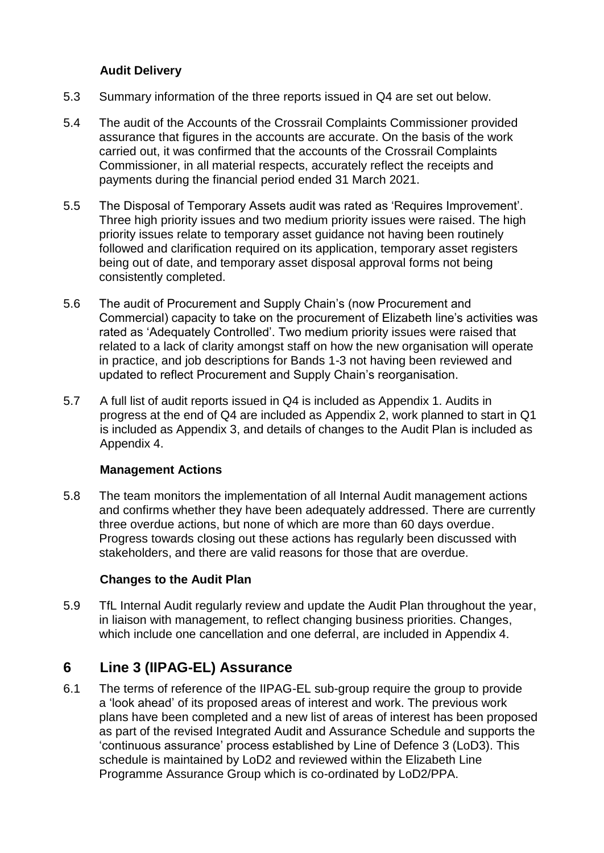#### **Audit Delivery**

- 5.3 Summary information of the three reports issued in Q4 are set out below.
- 5.4 The audit of the Accounts of the Crossrail Complaints Commissioner provided assurance that figures in the accounts are accurate. On the basis of the work carried out, it was confirmed that the accounts of the Crossrail Complaints Commissioner, in all material respects, accurately reflect the receipts and payments during the financial period ended 31 March 2021.
- 5.5 The Disposal of Temporary Assets audit was rated as 'Requires Improvement'. Three high priority issues and two medium priority issues were raised. The high priority issues relate to temporary asset guidance not having been routinely followed and clarification required on its application, temporary asset registers being out of date, and temporary asset disposal approval forms not being consistently completed.
- 5.6 The audit of Procurement and Supply Chain's (now Procurement and Commercial) capacity to take on the procurement of Elizabeth line's activities was rated as 'Adequately Controlled'. Two medium priority issues were raised that related to a lack of clarity amongst staff on how the new organisation will operate in practice, and job descriptions for Bands 1-3 not having been reviewed and updated to reflect Procurement and Supply Chain's reorganisation.
- 5.7 A full list of audit reports issued in Q4 is included as Appendix 1. Audits in progress at the end of Q4 are included as Appendix 2, work planned to start in Q1 is included as Appendix 3, and details of changes to the Audit Plan is included as Appendix 4.

#### **Management Actions**

5.8 The team monitors the implementation of all Internal Audit management actions and confirms whether they have been adequately addressed. There are currently three overdue actions, but none of which are more than 60 days overdue. Progress towards closing out these actions has regularly been discussed with stakeholders, and there are valid reasons for those that are overdue.

#### **Changes to the Audit Plan**

5.9 TfL Internal Audit regularly review and update the Audit Plan throughout the year, in liaison with management, to reflect changing business priorities. Changes, which include one cancellation and one deferral, are included in Appendix 4.

# **6 Line 3 (IIPAG-EL) Assurance**

6.1 The terms of reference of the IIPAG-EL sub-group require the group to provide a 'look ahead' of its proposed areas of interest and work. The previous work plans have been completed and a new list of areas of interest has been proposed as part of the revised Integrated Audit and Assurance Schedule and supports the 'continuous assurance' process established by Line of Defence 3 (LoD3). This schedule is maintained by LoD2 and reviewed within the Elizabeth Line Programme Assurance Group which is co-ordinated by LoD2/PPA.